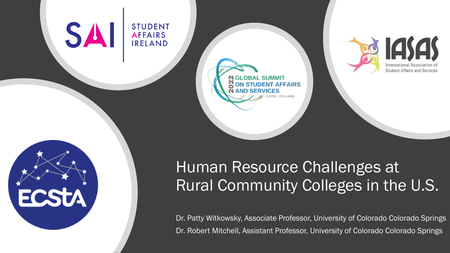#### **SA STUDENT AFFAIRS IRELAND**



**GLOBAL SUMMIT JDENT AFFAIRS RELAND** 



#### Human Resource Challenges at Rural Community Colleges in the U.S.

Dr. Patty Witkowsky, Associate Professor, University of Colorado Colorado Springs Dr. Robert Mitchell, Assistant Professor, University of Colorado Colorado Springs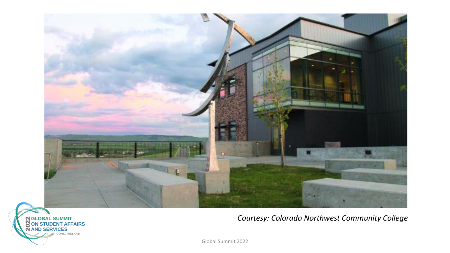



*Courtesy: Colorado Northwest Community College*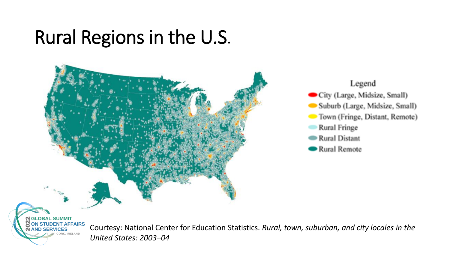## Rural Regions in the U.S.





Courtesy: National Center for Education Statistics. *Rural, town, suburban, and city locales in the United States: 2003–04*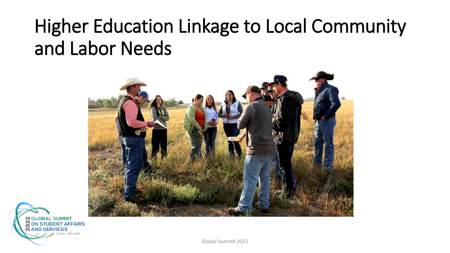## Higher Education Linkage to Local Community and Labor Needs



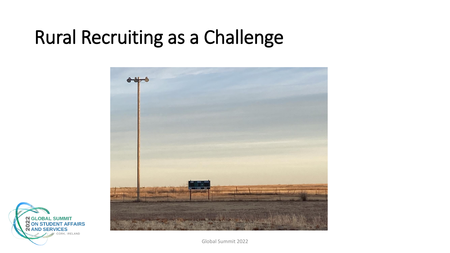## Rural Recruiting as a Challenge



**N GLOBAL SUMMIT<br>CON STUDENT AFFAIRS AND SERVICES** CORK, IRELAND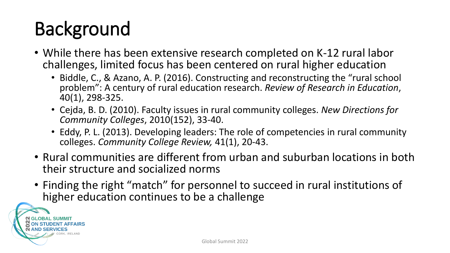# Background

- While there has been extensive research completed on K-12 rural labor challenges, limited focus has been centered on rural higher education
	- Biddle, C., & Azano, A. P. (2016). Constructing and reconstructing the "rural school problem": A century of rural education research. *Review of Research in Education*, 40(1), 298-325.
	- Cejda, B. D. (2010). Faculty issues in rural community colleges. *New Directions for Community Colleges*, 2010(152), 33-40.
	- Eddy, P. L. (2013). Developing leaders: The role of competencies in rural community colleges. *Community College Review,* 41(1), 20-43.
- Rural communities are different from urban and suburban locations in both their structure and socialized norms
- Finding the right "match" for personnel to succeed in rural institutions of higher education continues to be a challenge

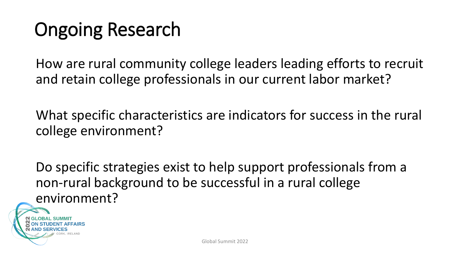## Ongoing Research

How are rural community college leaders leading efforts to recruit and retain college professionals in our current labor market?

What specific characteristics are indicators for success in the rural college environment?

Do specific strategies exist to help support professionals from a non-rural background to be successful in a rural college environment?

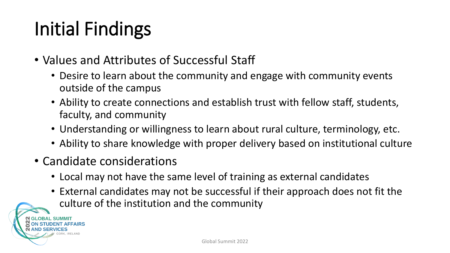# Initial Findings

- Values and Attributes of Successful Staff
	- Desire to learn about the community and engage with community events outside of the campus
	- Ability to create connections and establish trust with fellow staff, students, faculty, and community
	- Understanding or willingness to learn about rural culture, terminology, etc.
	- Ability to share knowledge with proper delivery based on institutional culture
- Candidate considerations
	- Local may not have the same level of training as external candidates
	- External candidates may not be successful if their approach does not fit the culture of the institution and the community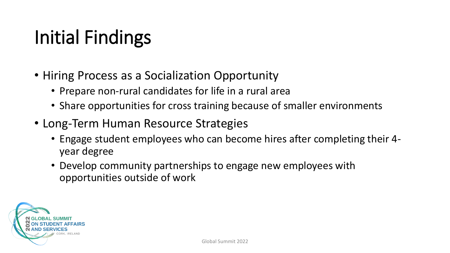## Initial Findings

- Hiring Process as a Socialization Opportunity
	- Prepare non-rural candidates for life in a rural area
	- Share opportunities for cross training because of smaller environments
- Long-Term Human Resource Strategies
	- Engage student employees who can become hires after completing their 4 year degree
	- Develop community partnerships to engage new employees with opportunities outside of work

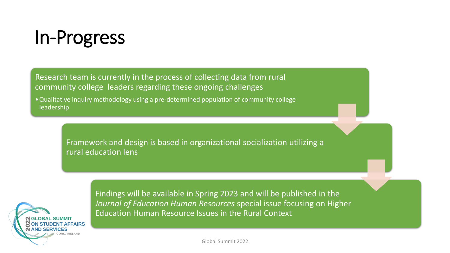

Research team is currently in the process of collecting data from rural community college leaders regarding these ongoing challenges

•Qualitative inquiry methodology using a pre-determined population of community college leadership

> Framework and design is based in organizational socialization utilizing a rural education lens



Findings will be available in Spring 2023 and will be published in the *Journal of Education Human Resources* special issue focusing on Higher Education Human Resource Issues in the Rural Context